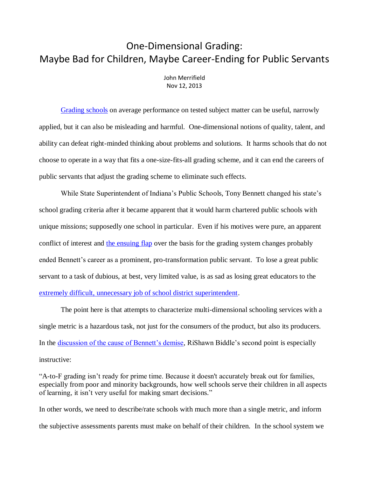## One-Dimensional Grading: Maybe Bad for Children, Maybe Career-Ending for Public Servants

John Merrifield Nov 12, 2013

[Grading schools](http://www.schoolsystemreformstudies.net/wp-content/uploads/2016/12/Problems-with-Grading-Schools.pdf) on average performance on tested subject matter can be useful, narrowly applied, but it can also be misleading and harmful. One-dimensional notions of quality, talent, and ability can defeat right-minded thinking about problems and solutions. It harms schools that do not choose to operate in a way that fits a one-size-fits-all grading scheme, and it can end the careers of public servants that adjust the grading scheme to eliminate such effects.

While State Superintendent of Indiana's Public Schools, Tony Bennett changed his state's school grading criteria after it became apparent that it would harm chartered public schools with unique missions; supposedly one school in particular. Even if his motives were pure, an apparent conflict of interest and [the ensuing flap](http://www.edexcellence.net/commentary/education-gadfly-daily/flypaper/2013/the-tony-bennett-flap.html) over the basis for the grading system changes probably ended Bennett's career as a prominent, pro-transformation public servant. To lose a great public servant to a task of dubious, at best, very limited value, is as sad as losing great educators to the [extremely difficult, unnecessary job of school district superintendent.](http://www.schoolsystemreformstudies.net/wp-content/uploads/2016/11/School-District-Superintendent.pdf)

The point here is that attempts to characterize multi-dimensional schooling services with a single metric is a hazardous task, not just for the consumers of the product, but also its producers. In the [discussion of the cause of Bennett's demise,](http://www.edexcellence.net/commentary/education-gadfly-daily/flypaper/2013/the-tony-bennett-flap.html) RiShawn Biddle's second point is especially instructive:

"A-to-F grading isn't ready for prime time. Because it doesn't accurately break out for families, especially from poor and minority backgrounds, how well schools serve their children in all aspects of learning, it isn't very useful for making smart decisions."

In other words, we need to describe/rate schools with much more than a single metric, and inform the subjective assessments parents must make on behalf of their children. In the school system we